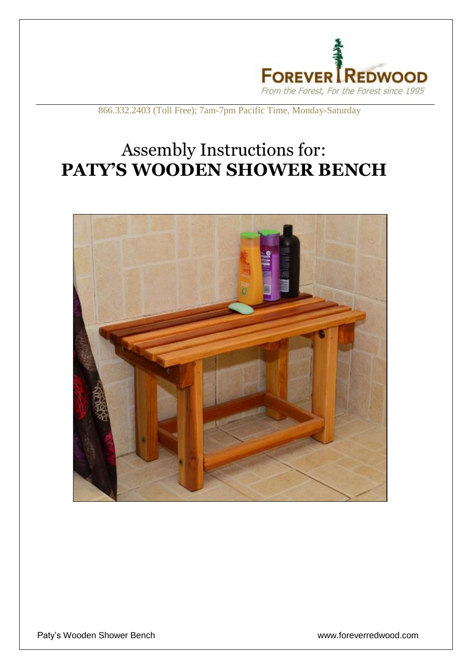

## 866.332.2403 (Toll Free); 7am-7pm Pacific Time, Monday-Saturday

## Assembly Instructions for: **PATY'S WOODEN SHOWER BENCH**

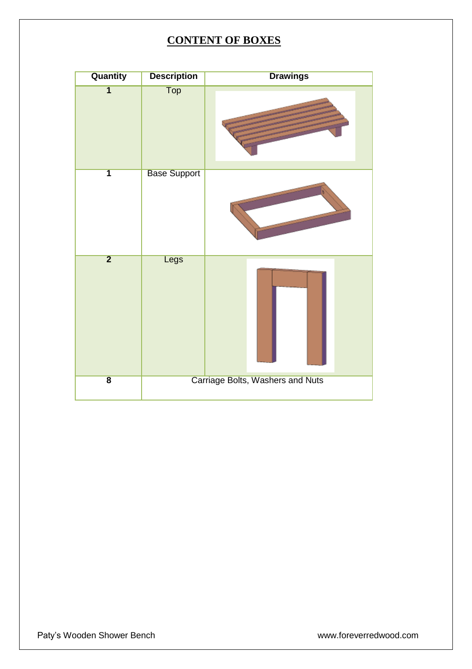## **CONTENT OF BOXES**

| Quantity                | <b>Description</b>               | <b>Drawings</b> |
|-------------------------|----------------------------------|-----------------|
| $\overline{\mathbf{1}}$ | <b>Top</b>                       |                 |
| $\overline{\mathbf{1}}$ | <b>Base Support</b>              |                 |
| $\overline{2}$          | Legs                             |                 |
| $\overline{\mathbf{8}}$ | Carriage Bolts, Washers and Nuts |                 |